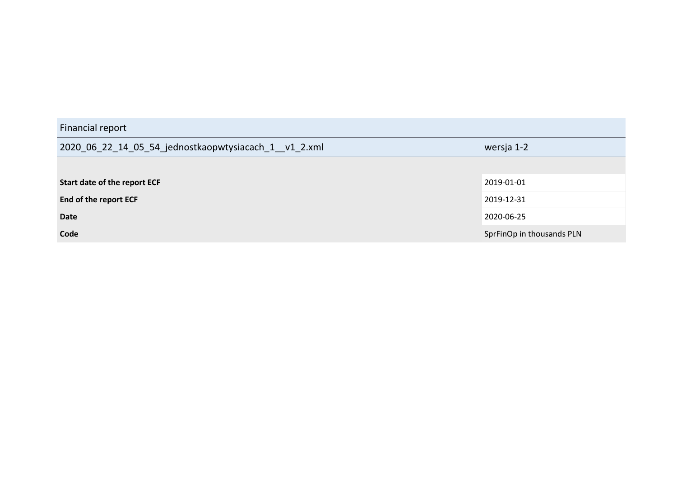| Financial report                                      |                           |
|-------------------------------------------------------|---------------------------|
| 2020_06_22_14_05_54_jednostkaopwtysiacach_1__v1_2.xml | wersja 1-2                |
|                                                       |                           |
| Start date of the report ECF                          | 2019-01-01                |
| End of the report ECF                                 | 2019-12-31                |
| <b>Date</b>                                           | 2020-06-25                |
| Code                                                  | SprFinOp in thousands PLN |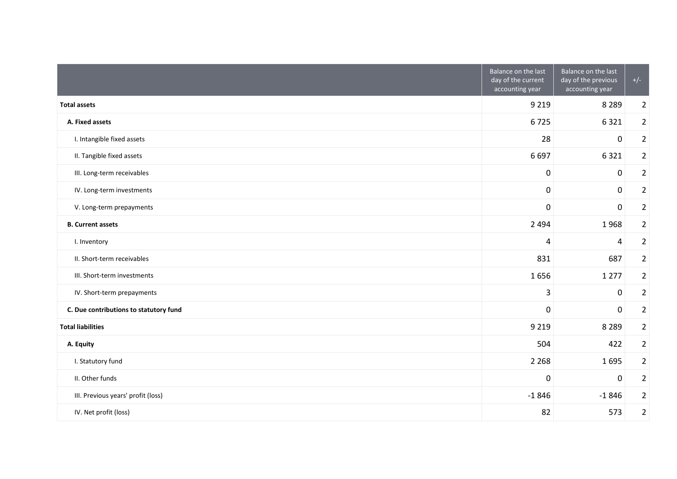|                                        | Balance on the last<br>day of the current<br>accounting year | Balance on the last<br>day of the previous<br>accounting year | $+/-$          |
|----------------------------------------|--------------------------------------------------------------|---------------------------------------------------------------|----------------|
| <b>Total assets</b>                    | 9 2 1 9                                                      | 8 2 8 9                                                       | $\overline{2}$ |
| A. Fixed assets                        | 6725                                                         | 6321                                                          | $\overline{2}$ |
| I. Intangible fixed assets             | 28                                                           | 0                                                             | $\overline{2}$ |
| II. Tangible fixed assets              | 6697                                                         | 6321                                                          | $\overline{2}$ |
| III. Long-term receivables             | 0                                                            | 0                                                             | $\overline{2}$ |
| IV. Long-term investments              | $\mathbf 0$                                                  | $\overline{0}$                                                | $\overline{2}$ |
| V. Long-term prepayments               | 0                                                            | 0                                                             | $\overline{2}$ |
| <b>B.</b> Current assets               | 2 4 9 4                                                      | 1968                                                          | $\overline{2}$ |
| I. Inventory                           | 4                                                            | 4                                                             | $\overline{2}$ |
| II. Short-term receivables             | 831                                                          | 687                                                           | $\overline{2}$ |
| III. Short-term investments            | 1656                                                         | 1 2 7 7                                                       | $\overline{2}$ |
| IV. Short-term prepayments             | 3                                                            | 0                                                             | $\overline{2}$ |
| C. Due contributions to statutory fund | 0                                                            | 0                                                             | $\overline{2}$ |
| <b>Total liabilities</b>               | 9 2 1 9                                                      | 8 2 8 9                                                       | $\overline{2}$ |
| A. Equity                              | 504                                                          | 422                                                           | $\overline{2}$ |
| I. Statutory fund                      | 2 2 6 8                                                      | 1695                                                          | $\overline{2}$ |
| II. Other funds                        | 0                                                            | 0                                                             | $\overline{2}$ |
| III. Previous years' profit (loss)     | $-1846$                                                      | $-1846$                                                       | $\overline{2}$ |
| IV. Net profit (loss)                  | 82                                                           | 573                                                           | $\overline{2}$ |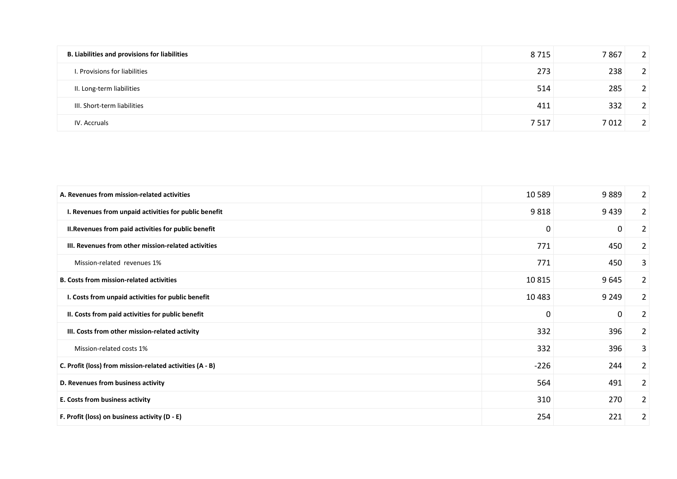| <b>B. Liabilities and provisions for liabilities</b> | 8715 | 7867 | 2 <sup>1</sup> |
|------------------------------------------------------|------|------|----------------|
| I. Provisions for liabilities                        | 273  | 238  | 2 <sup>1</sup> |
| II. Long-term liabilities                            | 514  | 285  |                |
| III. Short-term liabilities                          | 411  | 332  |                |
| IV. Accruals                                         | 7517 | 7012 |                |

| A. Revenues from mission-related activities              | 10 5 89 | 9889    | 2              |
|----------------------------------------------------------|---------|---------|----------------|
| I. Revenues from unpaid activities for public benefit    | 9818    | 9439    | $\overline{2}$ |
| II. Revenues from paid activities for public benefit     | 0       | 0       | 2              |
| III. Revenues from other mission-related activities      | 771     | 450     | $\overline{2}$ |
| Mission-related revenues 1%                              | 771     | 450     | 3              |
| <b>B. Costs from mission-related activities</b>          | 10815   | 9645    | $\overline{2}$ |
| I. Costs from unpaid activities for public benefit       | 10 4 83 | 9 2 4 9 | $\overline{2}$ |
| II. Costs from paid activities for public benefit        | 0       | 0       | $\overline{2}$ |
| III. Costs from other mission-related activity           | 332     | 396     | $\overline{2}$ |
| Mission-related costs 1%                                 | 332     | 396     | 3              |
| C. Profit (loss) from mission-related activities (A - B) | $-226$  | 244     | $\overline{2}$ |
| D. Revenues from business activity                       | 564     | 491     | $\overline{2}$ |
| E. Costs from business activity                          | 310     | 270     | $\overline{2}$ |
| F. Profit (loss) on business activity (D - E)            | 254     | 221     | $\overline{2}$ |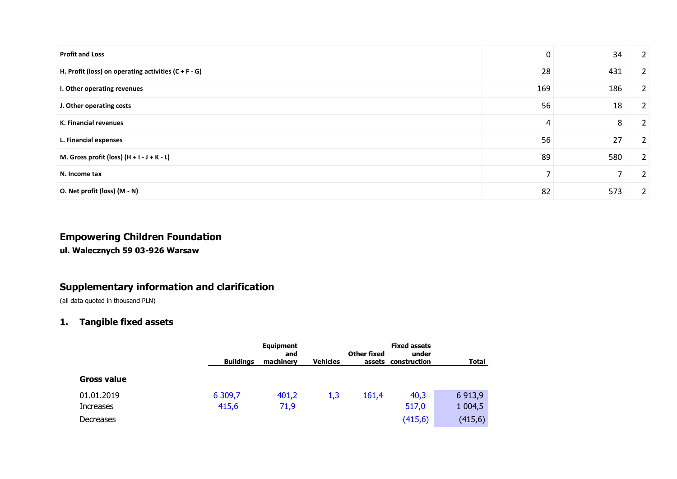| <b>Profit and Loss</b>                                 | 0              | 34                       | $\overline{2}$ |
|--------------------------------------------------------|----------------|--------------------------|----------------|
| H. Profit (loss) on operating activities $(C + F - G)$ | 28             | 431                      | 2              |
| I. Other operating revenues                            | 169            | 186                      | $\overline{2}$ |
| J. Other operating costs                               | 56             | 18                       | $\overline{2}$ |
| K. Financial revenues                                  | 4              | 8                        | 2              |
| L. Financial expenses                                  | 56             | 27                       | $\overline{2}$ |
| M. Gross profit (loss) $(H + I - J + K - L)$           | 89             | 580                      | 2              |
| N. Income tax                                          | $\overline{z}$ | $\overline{\phantom{a}}$ | 2              |
| O. Net profit (loss) (M - N)                           | 82             | 573                      | 2              |

# **Empowering Children Foundation**

**ul. Walecznych 59 03-926 Warsaw**

# **Supplementary information and clarification**

(all data quoted in thousand PLN)

# **1. Tangible fixed assets**

|                        | <b>Buildings</b> | <b>Equipment</b><br>and<br>machinery | <b>Vehicles</b> | Other fixed<br>assets | <b>Fixed assets</b><br>under<br>construction | <b>Total</b>         |
|------------------------|------------------|--------------------------------------|-----------------|-----------------------|----------------------------------------------|----------------------|
| <b>Gross value</b>     |                  |                                      |                 |                       |                                              |                      |
| 01.01.2019             | 6 309,7          | 401,2                                | 1,3             | 161,4                 | 40,3                                         | 6 9 13,9             |
| Increases<br>Decreases | 415,6            | 71,9                                 |                 |                       | 517,0<br>(415,6)                             | 1 0 0 4,5<br>(415,6) |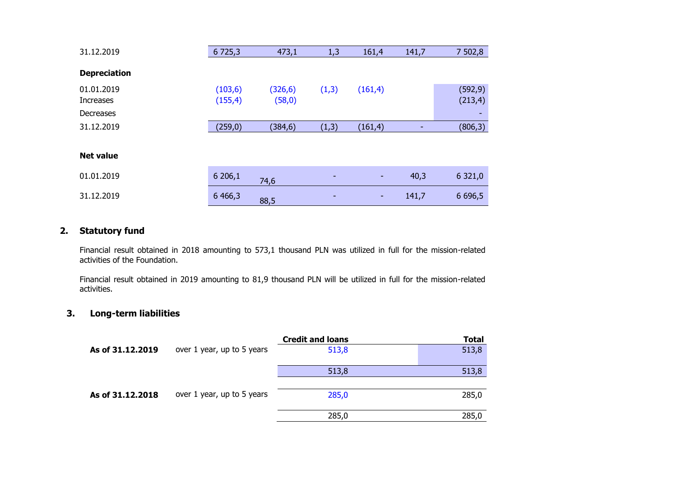| 31.12.2019              | 6 7 2 5 , 3          | 473,1               | 1,3   | 161,4    | 141,7 | 7 502,8              |
|-------------------------|----------------------|---------------------|-------|----------|-------|----------------------|
| <b>Depreciation</b>     |                      |                     |       |          |       |                      |
| 01.01.2019<br>Increases | (103, 6)<br>(155, 4) | (326, 6)<br>(58, 0) | (1,3) | (161, 4) |       | (592, 9)<br>(213, 4) |
| Decreases               |                      |                     |       |          |       |                      |
| 31.12.2019              | (259, 0)             | (384, 6)            | (1,3) | (161, 4) | ۰     | (806, 3)             |
| <b>Net value</b>        |                      |                     |       |          |       |                      |
| 01.01.2019              | 6206,1               | 74,6                |       | ٠        | 40,3  | 6 321,0              |
| 31.12.2019              | 6 4 6 6, 3           | 88,5                |       | ٠        | 141,7 | 6 6 9 6,5            |

#### **2. Statutory fund**

Financial result obtained in 2018 amounting to 573,1 thousand PLN was utilized in full for the mission-related activities of the Foundation.

Financial result obtained in 2019 amounting to 81,9 thousand PLN will be utilized in full for the mission-related activities.

# **3. Long-term liabilities**

|                  |                            | <b>Credit and loans</b> | <b>Total</b> |
|------------------|----------------------------|-------------------------|--------------|
| As of 31.12.2019 | over 1 year, up to 5 years | 513,8                   | 513,8        |
|                  |                            | 513,8                   | 513,8        |
| As of 31.12.2018 | over 1 year, up to 5 years | 285,0                   | 285,0        |
|                  |                            | 285,0                   | 285,0        |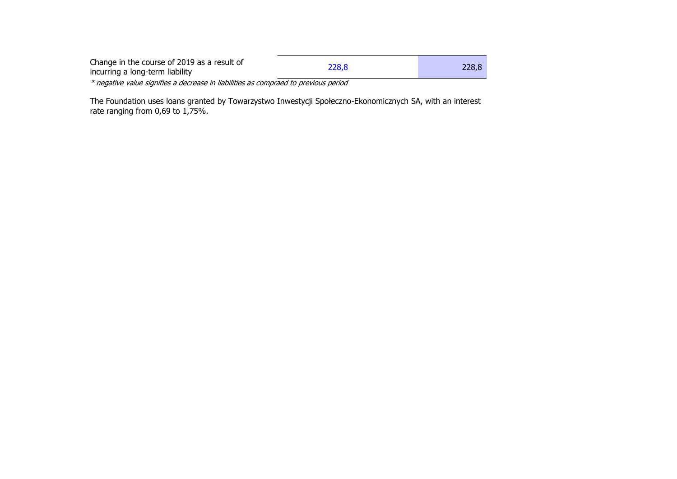| Change in the course of 2019 as a result of<br>incurring a long-term liability      | 228.8 | 228.8 |
|-------------------------------------------------------------------------------------|-------|-------|
| * negative value signifies a decrease in liabilities as compraed to previous period |       |       |

The Foundation uses loans granted by Towarzystwo Inwestycji Społeczno-Ekonomicznych SA, with an interest rate ranging from 0,69 to 1,75%.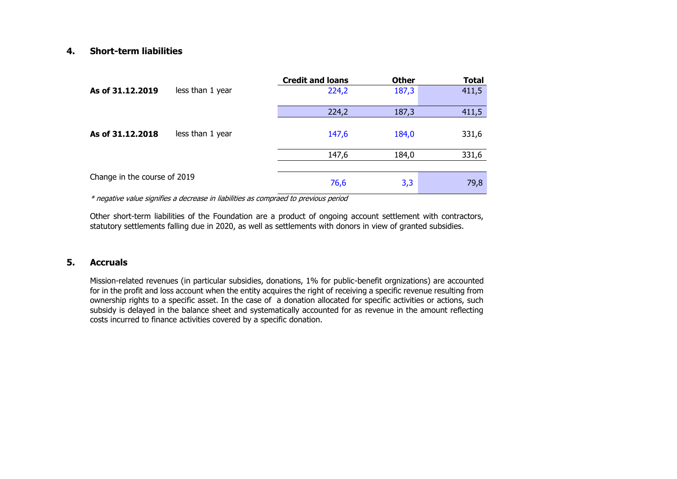#### **4. Short-term liabilities**

|                              |                  | <b>Credit and loans</b> | <b>Other</b> | <b>Total</b> |
|------------------------------|------------------|-------------------------|--------------|--------------|
| As of 31.12.2019             | less than 1 year | 224,2                   | 187,3        | 411,5        |
|                              |                  | 224,2                   | 187,3        | 411,5        |
|                              |                  |                         |              |              |
| As of 31.12.2018             | less than 1 year | 147,6                   | 184,0        | 331,6        |
|                              |                  |                         |              |              |
|                              |                  | 147,6                   | 184,0        | 331,6        |
|                              |                  |                         |              |              |
| Change in the course of 2019 |                  | 76,6                    | 3,3          | 79,8         |

\* negative value signifies a decrease in liabilities as compraed to previous period

Other short-term liabilities of the Foundation are a product of ongoing account settlement with contractors, statutory settlements falling due in 2020, as well as settlements with donors in view of granted subsidies.

#### **5. Accruals**

Mission-related revenues (in particular subsidies, donations, 1% for public-benefit orgnizations) are accounted for in the profit and loss account when the entity acquires the right of receiving a specific revenue resulting from ownership rights to a specific asset. In the case of a donation allocated for specific activities or actions, such subsidy is delayed in the balance sheet and systematically accounted for as revenue in the amount reflecting costs incurred to finance activities covered by a specific donation.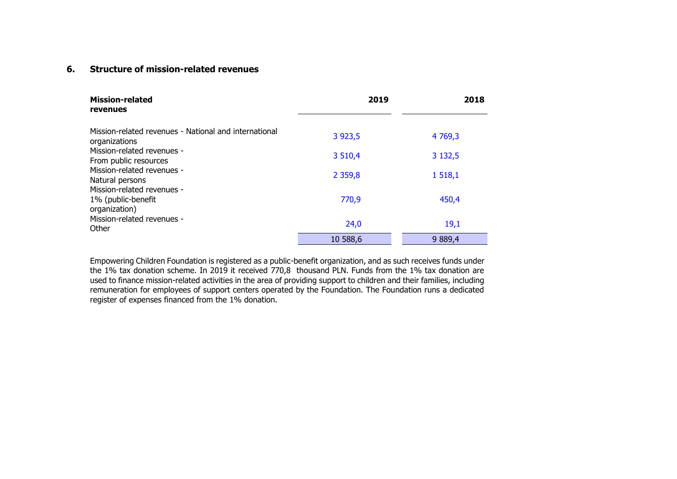# **6. Structure of mission-related revenues**

| <b>Mission-related</b><br>revenues                                     | 2019       | 2018       |
|------------------------------------------------------------------------|------------|------------|
| Mission-related revenues - National and international<br>organizations | 3 9 23, 5  | 4 769,3    |
| Mission-related revenues -<br>From public resources                    | 3 510,4    | 3 132,5    |
| Mission-related revenues -<br>Natural persons                          | 2 3 5 9, 8 | 1518,1     |
| Mission-related revenues -<br>1% (public-benefit<br>organization)      | 770,9      | 450,4      |
| Mission-related revenues -<br>Other                                    | 24,0       | 19,1       |
|                                                                        | 10 588,6   | 9 8 8 9, 4 |

Empowering Children Foundation is registered as a public-benefit organization, and as such receives funds under the 1% tax donation scheme. In 2019 it received 770,8 thousand PLN. Funds from the 1% tax donation are used to finance mission-related activities in the area of providing support to children and their families, including remuneration for employees of support centers operated by the Foundation. The Foundation runs a dedicated register of expenses financed from the 1% donation.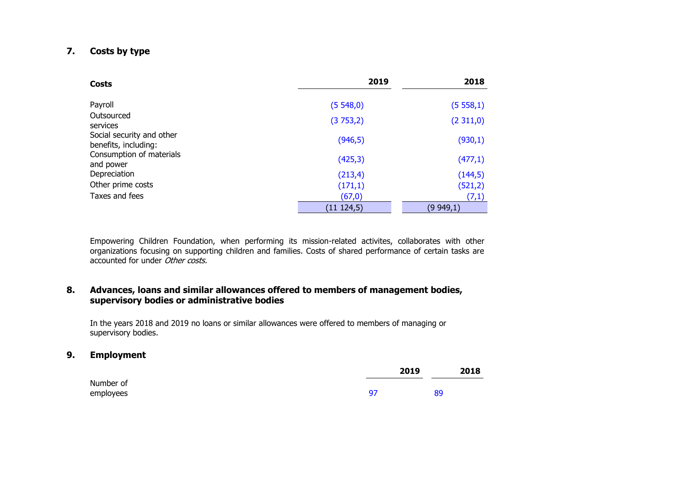#### **7. Costs by type**

| Costs                                             | 2019        | 2018     |
|---------------------------------------------------|-------------|----------|
| Payroll                                           | (5548,0)    | (5558,1) |
| Outsourced<br>services                            | (3753,2)    | (2311,0) |
| Social security and other<br>benefits, including: | (946, 5)    | (930,1)  |
| Consumption of materials<br>and power             | (425, 3)    | (477,1)  |
| Depreciation                                      | (213, 4)    | (144,5)  |
| Other prime costs                                 | (171,1)     | (521, 2) |
| Taxes and fees                                    | (67, 0)     | (7,1)    |
|                                                   | (11 124, 5) | (9949,1) |

Empowering Children Foundation, when performing its mission-related activites, collaborates with other organizations focusing on supporting children and families. Costs of shared performance of certain tasks are accounted for under Other costs.

#### **8. Advances, loans and similar allowances offered to members of management bodies, supervisory bodies or administrative bodies**

In the years 2018 and 2019 no loans or similar allowances were offered to members of managing or supervisory bodies.

#### **9. Employment**

|           |    | 2019 |    | 2018 |
|-----------|----|------|----|------|
| Number of |    |      |    |      |
| employees | 97 |      | 89 |      |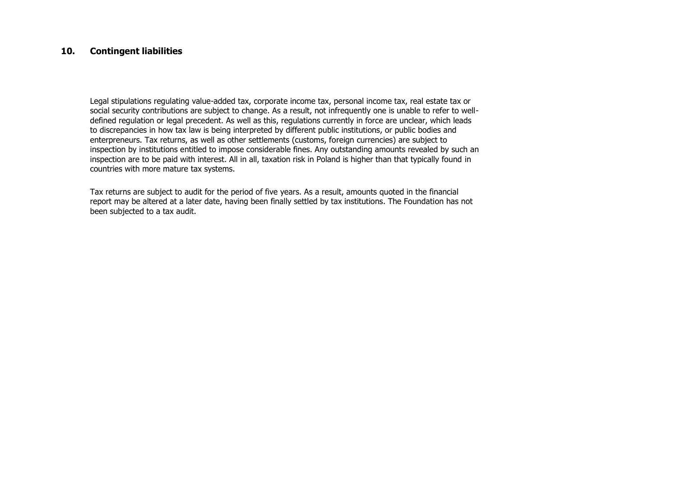#### **10. Contingent liabilities**

Legal stipulations regulating value-added tax, corporate income tax, personal income tax, real estate tax or social security contributions are subject to change. As a result, not infrequently one is unable to refer to welldefined regulation or legal precedent. As well as this, regulations currently in force are unclear, which leads to discrepancies in how tax law is being interpreted by different public institutions, or public bodies and enterpreneurs. Tax returns, as well as other settlements (customs, foreign currencies) are subject to inspection by institutions entitled to impose considerable fines. Any outstanding amounts revealed by such an inspection are to be paid with interest. All in all, taxation risk in Poland is higher than that typically found in countries with more mature tax systems.

Tax returns are subject to audit for the period of five years. As a result, amounts quoted in the financial report may be altered at a later date, having been finally settled by tax institutions. The Foundation has not been subjected to a tax audit.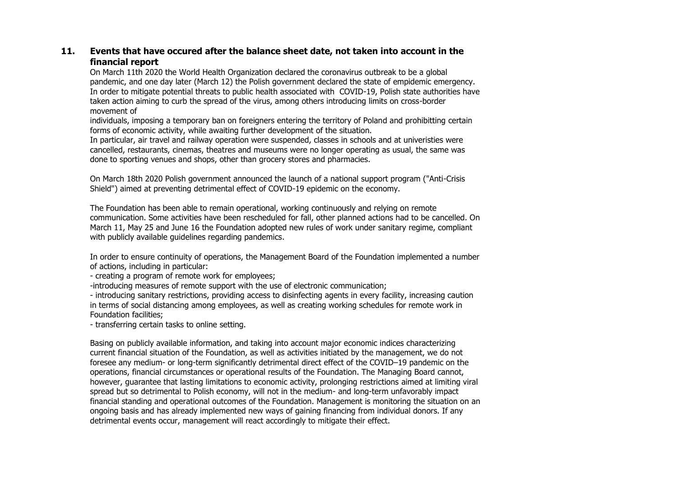### **11. Events that have occured after the balance sheet date, not taken into account in the financial report**

On March 11th 2020 the World Health Organization declared the coronavirus outbreak to be a global pandemic, and one day later (March 12) the Polish government declared the state of empidemic emergency. In order to mitigate potential threats to public health associated with COVID-19, Polish state authorities have taken action aiming to curb the spread of the virus, among others introducing limits on cross-border movement of

individuals, imposing a temporary ban on foreigners entering the territory of Poland and prohibitting certain forms of economic activity, while awaiting further development of the situation.

In particular, air travel and railway operation were suspended, classes in schools and at univeristies were cancelled, restaurants, cinemas, theatres and museums were no longer operating as usual, the same was done to sporting venues and shops, other than grocery stores and pharmacies.

On March 18th 2020 Polish government announced the launch of a national support program ("Anti-Crisis Shield") aimed at preventing detrimental effect of COVID-19 epidemic on the economy.

The Foundation has been able to remain operational, working continuously and relying on remote communication. Some activities have been rescheduled for fall, other planned actions had to be cancelled. On March 11, May 25 and June 16 the Foundation adopted new rules of work under sanitary regime, compliant with publicly available guidelines regarding pandemics.

In order to ensure continuity of operations, the Management Board of the Foundation implemented a number of actions, including in particular:

- creating a program of remote work for employees;

-introducing measures of remote support with the use of electronic communication;

- introducing sanitary restrictions, providing access to disinfecting agents in every facility, increasing caution in terms of social distancing among employees, as well as creating working schedules for remote work in Foundation facilities;

- transferring certain tasks to online setting.

Basing on publicly available information, and taking into account major economic indices characterizing current financial situation of the Foundation, as well as activities initiated by the management, we do not foresee any medium- or long-term significantly detrimental direct effect of the COVID–19 pandemic on the operations, financial circumstances or operational results of the Foundation. The Managing Board cannot, however, guarantee that lasting limitations to economic activity, prolonging restrictions aimed at limiting viral spread but so detrimental to Polish economy, will not in the medium- and long-term unfavorably impact financial standing and operational outcomes of the Foundation. Management is monitoring the situation on an ongoing basis and has already implemented new ways of gaining financing from individual donors. If any detrimental events occur, management will react accordingly to mitigate their effect.